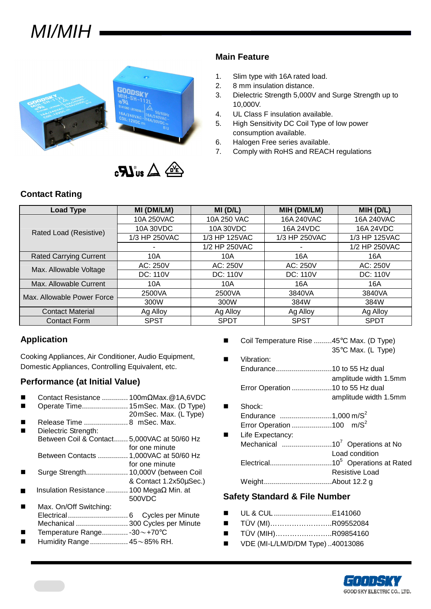



#### **Main Feature**

- 1. Slim type with 16A rated load.
- 2. 8 mm insulation distance.
- 3. Dielectric Strength 5,000V and Surge Strength up to 10,000V.
- 4. UL Class F insulation available.
- 5. High Sensitivity DC Coil Type of low power consumption available.
- 6. Halogen Free series available.
- 7. Comply with RoHS and REACH regulations

### **Contact Rating**

| <b>Load Type</b>              | MI (DM/LM)    | MI(D/L)         | MIH (DM/LM)     | MIH (D/L)       |  |
|-------------------------------|---------------|-----------------|-----------------|-----------------|--|
|                               | 10A 250VAC    | 10A 250 VAC     | 16A 240VAC      | 16A 240VAC      |  |
| Rated Load (Resistive)        | 10A 30VDC     | 10A 30VDC       | 16A 24VDC       | 16A 24VDC       |  |
|                               | 1/3 HP 250VAC | 1/3 HP 125VAC   | 1/3 HP 250VAC   | 1/3 HP 125VAC   |  |
|                               |               | 1/2 HP 250VAC   |                 | 1/2 HP 250VAC   |  |
| <b>Rated Carrying Current</b> | 10A           | 10A             | 16A             | 16A             |  |
| Max. Allowable Voltage        | AC: 250V      | AC: 250V        | AC: 250V        | AC: 250V        |  |
|                               | DC: 110V      | <b>DC: 110V</b> | <b>DC: 110V</b> | <b>DC: 110V</b> |  |
| Max. Allowable Current        | 10A           | 10A             | 16A             | 16A             |  |
| Max. Allowable Power Force    | 2500VA        | 2500VA          | 3840VA          | 3840VA          |  |
|                               | 300W          | 300W            | 384W            | 384W            |  |
| <b>Contact Material</b>       | Ag Alloy      | Ag Alloy        | Ag Alloy        | Ag Alloy        |  |
| <b>Contact Form</b>           | <b>SPST</b>   | <b>SPDT</b>     | <b>SPST</b>     | <b>SPDT</b>     |  |

### **Application**

Cooking Appliances, Air Conditioner, Audio Equipment, Domestic Appliances, Controlling Equivalent, etc.

### **Performance (at Initial Value)**

- Contact Resistance ............. 100mΩMax.@1A,6VDC
- Operate Time....................... 15 mSec. Max. (D Type)
- 20 mSec. Max. (L Type) Release Time ...................... 8 mSec. Max.
- Dielectric Strength:
- Between Coil & Contact....... 5,000VAC at 50/60 Hz for one minute Between Contacts ............... 1,000VAC at 50/60 Hz
- for one minute
- Surge Strength..................... 10,000V (between Coil & Contact 1.2x50µSec.)
- Insulation Resistance ........... 100 MegaΩ Min. at 500VDC
- Max. On/Off Switching: Electrical.............................. 6 Cycles per Minute Mechanical .......................... 300 Cycles per Minute
- Temperature Range............. -30~+70°C
- Humidity Range................... 45~85% RH.
- Coil Temperature Rise .........45°C Max. (D Type) 35°C Max. (L Type)
- Vibration: Endurance............................10 to 55 Hz dual amplitude width 1.5mm Error Operation ....................10 to 55 Hz dual amplitude width 1.5mm ■ Shock:
- Endurance ..........................1,000 m/S<sup>2</sup> Error Operation ........................100 m/S<sup>2</sup>
- Life Expectancy: Mechanical .........................10<sup>7</sup>Operations at No Load condition Electrical...............................10<sup>5</sup>Operations at Rated Resistive Load Weight..................................About 12.2 g

### **Safety Standard & File Number**

- UL & CUL ..................................E141060
- TÜV (MI)………………………R09552084
- TÜV (MIH)……………………R09854160
- VDE (MI-L/LM/D/DM Type) ..40013086